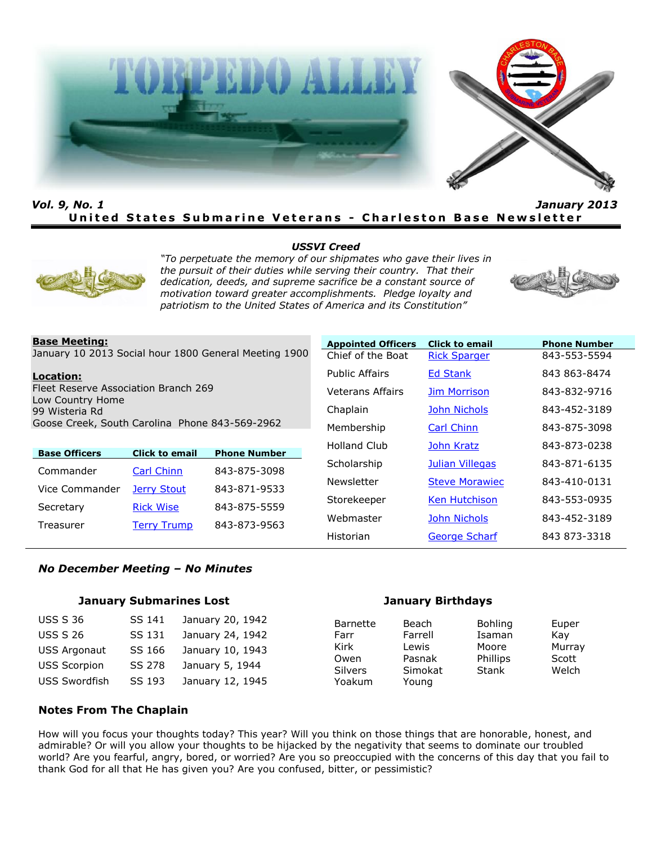



# *Vol. 9, No. 1 January 2013* **United States Submarine Veterans - Charleston Base Newsletter**

#### *USSVI Creed*



*"To perpetuate the memory of our shipmates who gave their lives in the pursuit of their duties while serving their country. That their dedication, deeds, and supreme sacrifice be a constant source of motivation toward greater accomplishments. Pledge loyalty and patriotism to the United States of America and its Constitution"*



#### **Base Meeting:**

January 10 2013 Social hour 1800 General Meeting 1900

#### **Location:**

Fleet Reserve Association Branch 269 Low Country Home 99 Wisteria Rd Goose Creek, South Carolina Phone 843-569-2962

| <b>Base Officers</b> | <b>Click to email</b> | <b>Phone Number</b> |
|----------------------|-----------------------|---------------------|
| Commander            | <b>Carl Chinn</b>     | 843-875-3098        |
| Vice Commander       | <b>Jerry Stout</b>    | 843-871-9533        |
| Secretary            | <b>Rick Wise</b>      | 843-875-5559        |
| Treasurer            | <b>Terry Trump</b>    | 843-873-9563        |

| <b>Appointed Officers</b> | <b>Click to email</b> | <b>Phone Number</b> |
|---------------------------|-----------------------|---------------------|
| Chief of the Boat         | <b>Rick Sparger</b>   | 843-553-5594        |
| <b>Public Affairs</b>     | <b>Ed Stank</b>       | 843 863-8474        |
| Veterans Affairs          | <b>Jim Morrison</b>   | 843-832-9716        |
| Chaplain                  | <b>John Nichols</b>   | 843-452-3189        |
| Membership                | <b>Carl Chinn</b>     | 843-875-3098        |
| Holland Club              | John Kratz            | 843-873-0238        |
| Scholarship               | Julian Villegas       | 843-871-6135        |
| Newsletter                | <b>Steve Morawiec</b> | 843-410-0131        |
| Storekeeper               | <b>Ken Hutchison</b>  | 843-553-0935        |
| Webmaster                 | <b>John Nichols</b>   | 843-452-3189        |
| Historian                 | <b>George Scharf</b>  | 843 873-3318        |

#### *No December Meeting – No Minutes*

#### **January Submarines Lost January Birthdays**

| <b>USS S 36</b>      | SS 141 | January 20, 1942 |
|----------------------|--------|------------------|
| <b>USS S 26</b>      | SS 131 | January 24, 1942 |
| <b>USS Argonaut</b>  | SS 166 | January 10, 1943 |
| <b>USS Scorpion</b>  | SS 278 | January 5, 1944  |
| <b>USS Swordfish</b> | SS 193 | January 12, 1945 |

Barnette Beach Bohling Euper Farr Farrell Isaman Kay<br>Kirk Lewis Moore Murr Owen Pasnak Phillips Scott Silvers Simokat Stank Welch Yoakum Young

Murray

#### **Notes From The Chaplain**

How will you focus your thoughts today? This year? Will you think on those things that are honorable, honest, and admirable? Or will you allow your thoughts to be hijacked by the negativity that seems to dominate our troubled world? Are you fearful, angry, bored, or worried? Are you so preoccupied with the concerns of this day that you fail to thank God for all that He has given you? Are you confused, bitter, or pessimistic?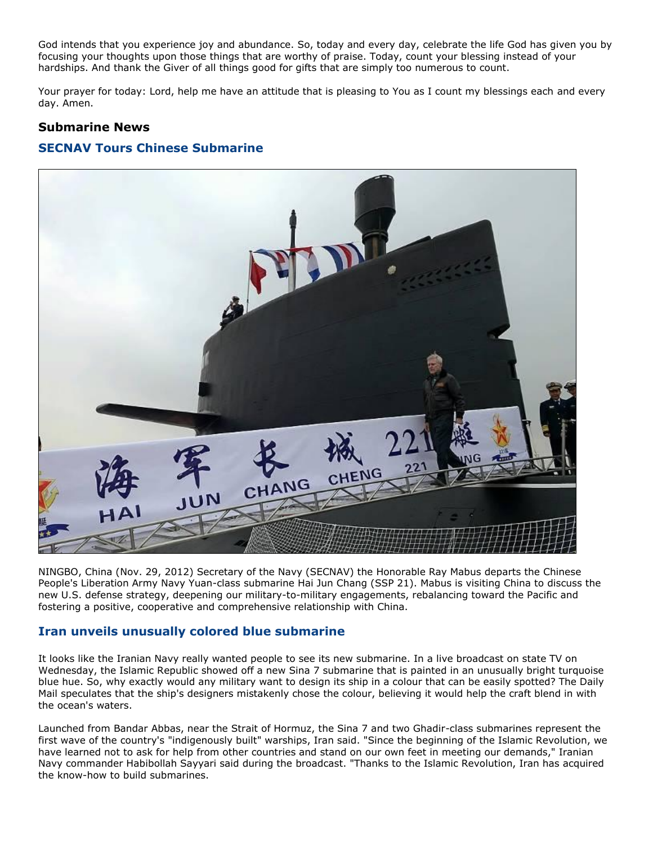God intends that you experience joy and abundance. So, today and every day, celebrate the life God has given you by focusing your thoughts upon those things that are worthy of praise. Today, count your blessing instead of your hardships. And thank the Giver of all things good for gifts that are simply too numerous to count.

Your prayer for today: Lord, help me have an attitude that is pleasing to You as I count my blessings each and every day. Amen.

# **Submarine News**

# **SECNAV Tours Chinese Submarine**



NINGBO, China (Nov. 29, 2012) Secretary of the Navy (SECNAV) the Honorable Ray Mabus departs the Chinese People's Liberation Army Navy Yuan-class submarine Hai Jun Chang (SSP 21). Mabus is visiting China to discuss the new U.S. defense strategy, deepening our military-to-military engagements, rebalancing toward the Pacific and fostering a positive, cooperative and comprehensive relationship with China.

# **Iran unveils unusually colored blue submarine**

It looks like the Iranian Navy really wanted people to see its new submarine. In a live broadcast on state TV on Wednesday, the Islamic Republic showed off a new Sina 7 submarine that is painted in an unusually bright turquoise blue hue. So, why exactly would any military want to design its ship in a colour that can be easily spotted? The Daily Mail speculates that the ship's designers mistakenly chose the colour, believing it would help the craft blend in with the ocean's waters.

Launched from Bandar Abbas, near the Strait of Hormuz, the Sina 7 and two Ghadir-class submarines represent the first wave of the country's "indigenously built" warships, Iran said. "Since the beginning of the Islamic Revolution, we have learned not to ask for help from other countries and stand on our own feet in meeting our demands," Iranian Navy commander Habibollah Sayyari said during the broadcast. "Thanks to the Islamic Revolution, Iran has acquired the know-how to build submarines.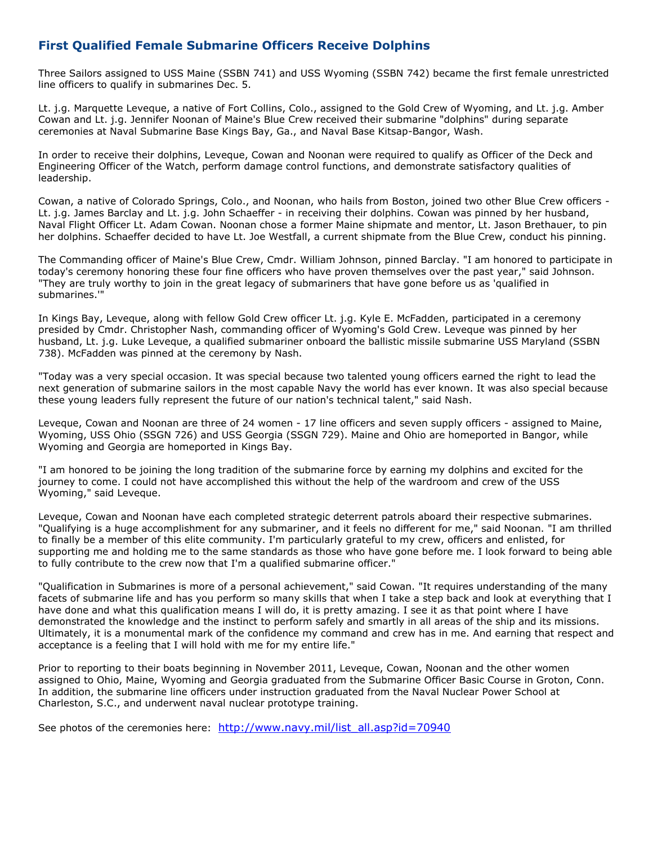# **First Qualified Female Submarine Officers Receive Dolphins**

Three Sailors assigned to USS Maine (SSBN 741) and USS Wyoming (SSBN 742) became the first female unrestricted line officers to qualify in submarines Dec. 5.

Lt. j.g. Marquette Leveque, a native of Fort Collins, Colo., assigned to the Gold Crew of Wyoming, and Lt. j.g. Amber Cowan and Lt. j.g. Jennifer Noonan of Maine's Blue Crew received their submarine "dolphins" during separate ceremonies at Naval Submarine Base Kings Bay, Ga., and Naval Base Kitsap-Bangor, Wash.

In order to receive their dolphins, Leveque, Cowan and Noonan were required to qualify as Officer of the Deck and Engineering Officer of the Watch, perform damage control functions, and demonstrate satisfactory qualities of leadership.

Cowan, a native of Colorado Springs, Colo., and Noonan, who hails from Boston, joined two other Blue Crew officers - Lt. j.g. James Barclay and Lt. j.g. John Schaeffer - in receiving their dolphins. Cowan was pinned by her husband, Naval Flight Officer Lt. Adam Cowan. Noonan chose a former Maine shipmate and mentor, Lt. Jason Brethauer, to pin her dolphins. Schaeffer decided to have Lt. Joe Westfall, a current shipmate from the Blue Crew, conduct his pinning.

The Commanding officer of Maine's Blue Crew, Cmdr. William Johnson, pinned Barclay. "I am honored to participate in today's ceremony honoring these four fine officers who have proven themselves over the past year," said Johnson. "They are truly worthy to join in the great legacy of submariners that have gone before us as 'qualified in submarines.'"

In Kings Bay, Leveque, along with fellow Gold Crew officer Lt. j.g. Kyle E. McFadden, participated in a ceremony presided by Cmdr. Christopher Nash, commanding officer of Wyoming's Gold Crew. Leveque was pinned by her husband, Lt. j.g. Luke Leveque, a qualified submariner onboard the ballistic missile submarine USS Maryland (SSBN 738). McFadden was pinned at the ceremony by Nash.

"Today was a very special occasion. It was special because two talented young officers earned the right to lead the next generation of submarine sailors in the most capable Navy the world has ever known. It was also special because these young leaders fully represent the future of our nation's technical talent," said Nash.

Leveque, Cowan and Noonan are three of 24 women - 17 line officers and seven supply officers - assigned to Maine, Wyoming, USS Ohio (SSGN 726) and USS Georgia (SSGN 729). Maine and Ohio are homeported in Bangor, while Wyoming and Georgia are homeported in Kings Bay.

"I am honored to be joining the long tradition of the submarine force by earning my dolphins and excited for the journey to come. I could not have accomplished this without the help of the wardroom and crew of the USS Wyoming," said Leveque.

Leveque, Cowan and Noonan have each completed strategic deterrent patrols aboard their respective submarines. "Qualifying is a huge accomplishment for any submariner, and it feels no different for me," said Noonan. "I am thrilled to finally be a member of this elite community. I'm particularly grateful to my crew, officers and enlisted, for supporting me and holding me to the same standards as those who have gone before me. I look forward to being able to fully contribute to the crew now that I'm a qualified submarine officer."

"Qualification in Submarines is more of a personal achievement," said Cowan. "It requires understanding of the many facets of submarine life and has you perform so many skills that when I take a step back and look at everything that I have done and what this qualification means I will do, it is pretty amazing. I see it as that point where I have demonstrated the knowledge and the instinct to perform safely and smartly in all areas of the ship and its missions. Ultimately, it is a monumental mark of the confidence my command and crew has in me. And earning that respect and acceptance is a feeling that I will hold with me for my entire life."

Prior to reporting to their boats beginning in November 2011, Leveque, Cowan, Noonan and the other women assigned to Ohio, Maine, Wyoming and Georgia graduated from the Submarine Officer Basic Course in Groton, Conn. In addition, the submarine line officers under instruction graduated from the Naval Nuclear Power School at Charleston, S.C., and underwent naval nuclear prototype training.

See photos of the ceremonies here: [http://www.navy.mil/list\\_all.asp?id=70940](http://www.navy.mil/list_all.asp?id=70940)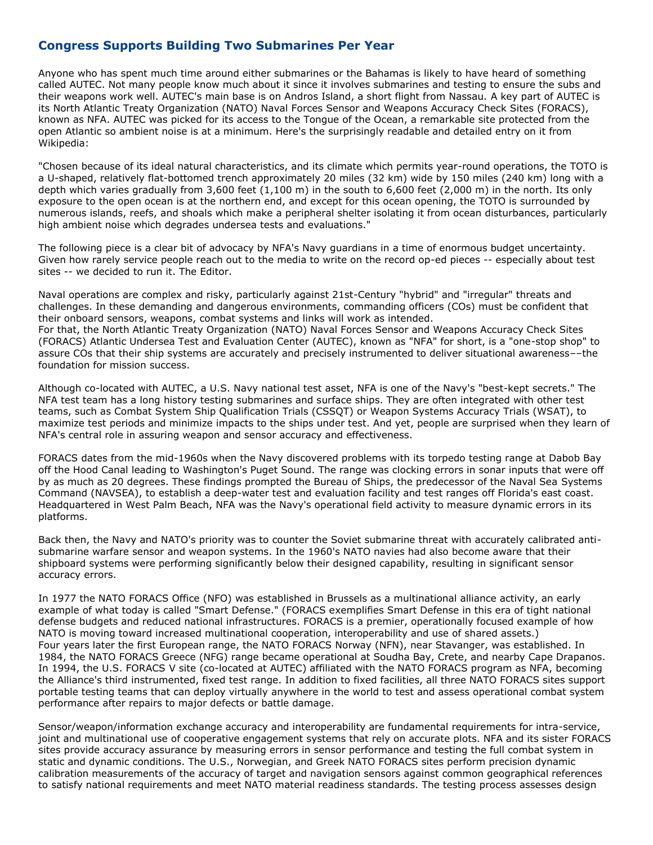# **Congress Supports Building Two Submarines Per Year**

Anyone who has spent much time around either submarines or the Bahamas is likely to have heard of something called AUTEC. Not many people know much about it since it involves submarines and testing to ensure the subs and their weapons work well. AUTEC's main base is on Andros Island, a short flight from Nassau. A key part of AUTEC is its North Atlantic Treaty Organization (NATO) Naval Forces Sensor and Weapons Accuracy Check Sites (FORACS), known as NFA. AUTEC was picked for its access to the Tongue of the Ocean, a remarkable site protected from the open Atlantic so ambient noise is at a minimum. Here's the surprisingly readable and detailed entry on it from Wikipedia:

"Chosen because of its ideal natural characteristics, and its climate which permits year-round operations, the TOTO is a U-shaped, relatively flat-bottomed trench approximately 20 miles (32 km) wide by 150 miles (240 km) long with a depth which varies gradually from 3,600 feet (1,100 m) in the south to 6,600 feet (2,000 m) in the north. Its only exposure to the open ocean is at the northern end, and except for this ocean opening, the TOTO is surrounded by numerous islands, reefs, and shoals which make a peripheral shelter isolating it from ocean disturbances, particularly high ambient noise which degrades undersea tests and evaluations."

The following piece is a clear bit of advocacy by NFA's Navy guardians in a time of enormous budget uncertainty. Given how rarely service people reach out to the media to write on the record op-ed pieces -- especially about test sites -- we decided to run it. The Editor.

Naval operations are complex and risky, particularly against 21st-Century "hybrid" and "irregular" threats and challenges. In these demanding and dangerous environments, commanding officers (COs) must be confident that their onboard sensors, weapons, combat systems and links will work as intended. For that, the North Atlantic Treaty Organization (NATO) Naval Forces Sensor and Weapons Accuracy Check Sites (FORACS) Atlantic Undersea Test and Evaluation Center (AUTEC), known as "NFA" for short, is a "one-stop shop" to assure COs that their ship systems are accurately and precisely instrumented to deliver situational awareness––the foundation for mission success.

Although co-located with AUTEC, a U.S. Navy national test asset, NFA is one of the Navy's "best-kept secrets." The NFA test team has a long history testing submarines and surface ships. They are often integrated with other test teams, such as Combat System Ship Qualification Trials (CSSQT) or Weapon Systems Accuracy Trials (WSAT), to maximize test periods and minimize impacts to the ships under test. And yet, people are surprised when they learn of NFA's central role in assuring weapon and sensor accuracy and effectiveness.

FORACS dates from the mid-1960s when the Navy discovered problems with its torpedo testing range at Dabob Bay off the Hood Canal leading to Washington's Puget Sound. The range was clocking errors in sonar inputs that were off by as much as 20 degrees. These findings prompted the Bureau of Ships, the predecessor of the Naval Sea Systems Command (NAVSEA), to establish a deep-water test and evaluation facility and test ranges off Florida's east coast. Headquartered in West Palm Beach, NFA was the Navy's operational field activity to measure dynamic errors in its platforms.

Back then, the Navy and NATO's priority was to counter the Soviet submarine threat with accurately calibrated antisubmarine warfare sensor and weapon systems. In the 1960's NATO navies had also become aware that their shipboard systems were performing significantly below their designed capability, resulting in significant sensor accuracy errors.

In 1977 the NATO FORACS Office (NFO) was established in Brussels as a multinational alliance activity, an early example of what today is called "Smart Defense." (FORACS exemplifies Smart Defense in this era of tight national defense budgets and reduced national infrastructures. FORACS is a premier, operationally focused example of how NATO is moving toward increased multinational cooperation, interoperability and use of shared assets.) Four years later the first European range, the NATO FORACS Norway (NFN), near Stavanger, was established. In 1984, the NATO FORACS Greece (NFG) range became operational at Soudha Bay, Crete, and nearby Cape Drapanos. In 1994, the U.S. FORACS V site (co-located at AUTEC) affiliated with the NATO FORACS program as NFA, becoming the Alliance's third instrumented, fixed test range. In addition to fixed facilities, all three NATO FORACS sites support portable testing teams that can deploy virtually anywhere in the world to test and assess operational combat system performance after repairs to major defects or battle damage.

Sensor/weapon/information exchange accuracy and interoperability are fundamental requirements for intra-service, joint and multinational use of cooperative engagement systems that rely on accurate plots. NFA and its sister FORACS sites provide accuracy assurance by measuring errors in sensor performance and testing the full combat system in static and dynamic conditions. The U.S., Norwegian, and Greek NATO FORACS sites perform precision dynamic calibration measurements of the accuracy of target and navigation sensors against common geographical references to satisfy national requirements and meet NATO material readiness standards. The testing process assesses design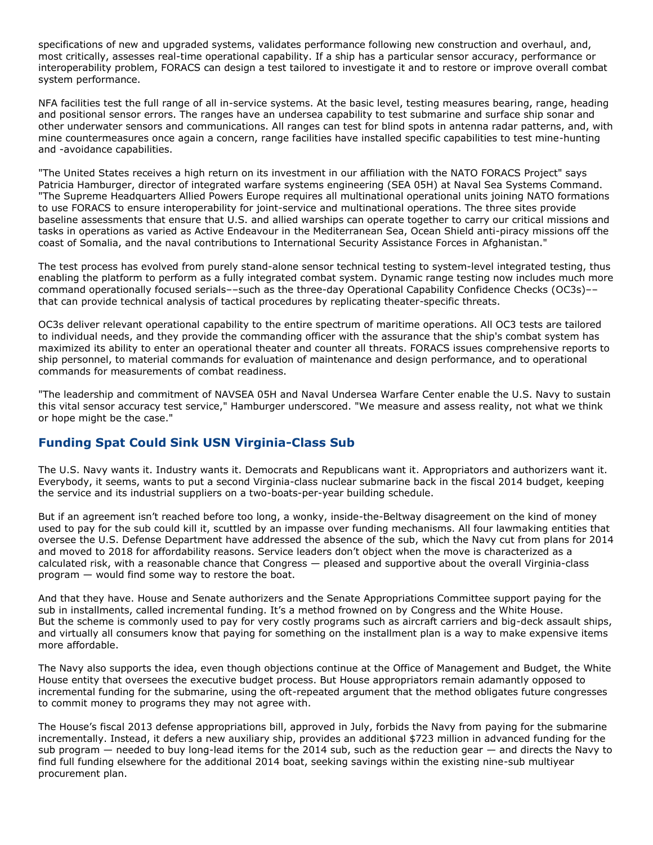specifications of new and upgraded systems, validates performance following new construction and overhaul, and, most critically, assesses real-time operational capability. If a ship has a particular sensor accuracy, performance or interoperability problem, FORACS can design a test tailored to investigate it and to restore or improve overall combat system performance.

NFA facilities test the full range of all in-service systems. At the basic level, testing measures bearing, range, heading and positional sensor errors. The ranges have an undersea capability to test submarine and surface ship sonar and other underwater sensors and communications. All ranges can test for blind spots in antenna radar patterns, and, with mine countermeasures once again a concern, range facilities have installed specific capabilities to test mine-hunting and -avoidance capabilities.

"The United States receives a high return on its investment in our affiliation with the NATO FORACS Project" says Patricia Hamburger, director of integrated warfare systems engineering (SEA 05H) at Naval Sea Systems Command. "The Supreme Headquarters Allied Powers Europe requires all multinational operational units joining NATO formations to use FORACS to ensure interoperability for joint-service and multinational operations. The three sites provide baseline assessments that ensure that U.S. and allied warships can operate together to carry our critical missions and tasks in operations as varied as Active Endeavour in the Mediterranean Sea, Ocean Shield anti-piracy missions off the coast of Somalia, and the naval contributions to International Security Assistance Forces in Afghanistan."

The test process has evolved from purely stand-alone sensor technical testing to system-level integrated testing, thus enabling the platform to perform as a fully integrated combat system. Dynamic range testing now includes much more command operationally focused serials––such as the three-day Operational Capability Confidence Checks (OC3s)–– that can provide technical analysis of tactical procedures by replicating theater-specific threats.

OC3s deliver relevant operational capability to the entire spectrum of maritime operations. All OC3 tests are tailored to individual needs, and they provide the commanding officer with the assurance that the ship's combat system has maximized its ability to enter an operational theater and counter all threats. FORACS issues comprehensive reports to ship personnel, to material commands for evaluation of maintenance and design performance, and to operational commands for measurements of combat readiness.

"The leadership and commitment of NAVSEA 05H and Naval Undersea Warfare Center enable the U.S. Navy to sustain this vital sensor accuracy test service," Hamburger underscored. "We measure and assess reality, not what we think or hope might be the case."

# **Funding Spat Could Sink USN Virginia-Class Sub**

The U.S. Navy wants it. Industry wants it. Democrats and Republicans want it. Appropriators and authorizers want it. Everybody, it seems, wants to put a second Virginia-class nuclear submarine back in the fiscal 2014 budget, keeping the service and its industrial suppliers on a two-boats-per-year building schedule.

But if an agreement isn't reached before too long, a wonky, inside-the-Beltway disagreement on the kind of money used to pay for the sub could kill it, scuttled by an impasse over funding mechanisms. All four lawmaking entities that oversee the U.S. Defense Department have addressed the absence of the sub, which the Navy cut from plans for 2014 and moved to 2018 for affordability reasons. Service leaders don't object when the move is characterized as a calculated risk, with a reasonable chance that Congress — pleased and supportive about the overall Virginia-class program — would find some way to restore the boat.

And that they have. House and Senate authorizers and the Senate Appropriations Committee support paying for the sub in installments, called incremental funding. It's a method frowned on by Congress and the White House. But the scheme is commonly used to pay for very costly programs such as aircraft carriers and big-deck assault ships, and virtually all consumers know that paying for something on the installment plan is a way to make expensive items more affordable.

The Navy also supports the idea, even though objections continue at the Office of Management and Budget, the White House entity that oversees the executive budget process. But House appropriators remain adamantly opposed to incremental funding for the submarine, using the oft-repeated argument that the method obligates future congresses to commit money to programs they may not agree with.

The House's fiscal 2013 defense appropriations bill, approved in July, forbids the Navy from paying for the submarine incrementally. Instead, it defers a new auxiliary ship, provides an additional \$723 million in advanced funding for the sub program — needed to buy long-lead items for the 2014 sub, such as the reduction gear — and directs the Navy to find full funding elsewhere for the additional 2014 boat, seeking savings within the existing nine-sub multiyear procurement plan.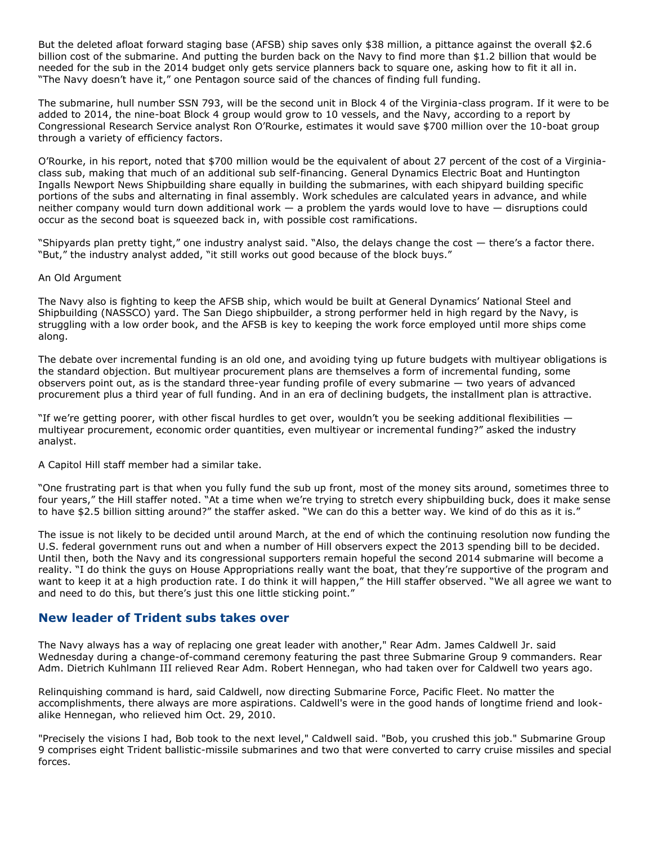But the deleted afloat forward staging base (AFSB) ship saves only \$38 million, a pittance against the overall \$2.6 billion cost of the submarine. And putting the burden back on the Navy to find more than \$1.2 billion that would be needed for the sub in the 2014 budget only gets service planners back to square one, asking how to fit it all in. "The Navy doesn't have it," one Pentagon source said of the chances of finding full funding.

The submarine, hull number SSN 793, will be the second unit in Block 4 of the Virginia-class program. If it were to be added to 2014, the nine-boat Block 4 group would grow to 10 vessels, and the Navy, according to a report by Congressional Research Service analyst Ron O'Rourke, estimates it would save \$700 million over the 10-boat group through a variety of efficiency factors.

O'Rourke, in his report, noted that \$700 million would be the equivalent of about 27 percent of the cost of a Virginiaclass sub, making that much of an additional sub self-financing. General Dynamics Electric Boat and Huntington Ingalls Newport News Shipbuilding share equally in building the submarines, with each shipyard building specific portions of the subs and alternating in final assembly. Work schedules are calculated years in advance, and while neither company would turn down additional work — a problem the yards would love to have — disruptions could occur as the second boat is squeezed back in, with possible cost ramifications.

"Shipyards plan pretty tight," one industry analyst said. "Also, the delays change the cost — there's a factor there. "But," the industry analyst added, "it still works out good because of the block buys."

#### An Old Argument

The Navy also is fighting to keep the AFSB ship, which would be built at General Dynamics' National Steel and Shipbuilding (NASSCO) yard. The San Diego shipbuilder, a strong performer held in high regard by the Navy, is struggling with a low order book, and the AFSB is key to keeping the work force employed until more ships come along.

The debate over incremental funding is an old one, and avoiding tying up future budgets with multiyear obligations is the standard objection. But multiyear procurement plans are themselves a form of incremental funding, some observers point out, as is the standard three-year funding profile of every submarine — two years of advanced procurement plus a third year of full funding. And in an era of declining budgets, the installment plan is attractive.

"If we're getting poorer, with other fiscal hurdles to get over, wouldn't you be seeking additional flexibilities  $$ multiyear procurement, economic order quantities, even multiyear or incremental funding?" asked the industry analyst.

A Capitol Hill staff member had a similar take.

"One frustrating part is that when you fully fund the sub up front, most of the money sits around, sometimes three to four years," the Hill staffer noted. "At a time when we're trying to stretch every shipbuilding buck, does it make sense to have \$2.5 billion sitting around?" the staffer asked. "We can do this a better way. We kind of do this as it is."

The issue is not likely to be decided until around March, at the end of which the continuing resolution now funding the U.S. federal government runs out and when a number of Hill observers expect the 2013 spending bill to be decided. Until then, both the Navy and its congressional supporters remain hopeful the second 2014 submarine will become a reality. "I do think the guys on House Appropriations really want the boat, that they're supportive of the program and want to keep it at a high production rate. I do think it will happen," the Hill staffer observed. "We all agree we want to and need to do this, but there's just this one little sticking point."

### **New leader of Trident subs takes over**

The Navy always has a way of replacing one great leader with another," Rear Adm. James Caldwell Jr. said Wednesday during a change-of-command ceremony featuring the past three Submarine Group 9 commanders. Rear Adm. Dietrich Kuhlmann III relieved Rear Adm. Robert Hennegan, who had taken over for Caldwell two years ago.

Relinquishing command is hard, said Caldwell, now directing Submarine Force, Pacific Fleet. No matter the accomplishments, there always are more aspirations. Caldwell's were in the good hands of longtime friend and lookalike Hennegan, who relieved him Oct. 29, 2010.

"Precisely the visions I had, Bob took to the next level," Caldwell said. "Bob, you crushed this job." Submarine Group 9 comprises eight Trident ballistic-missile submarines and two that were converted to carry cruise missiles and special forces.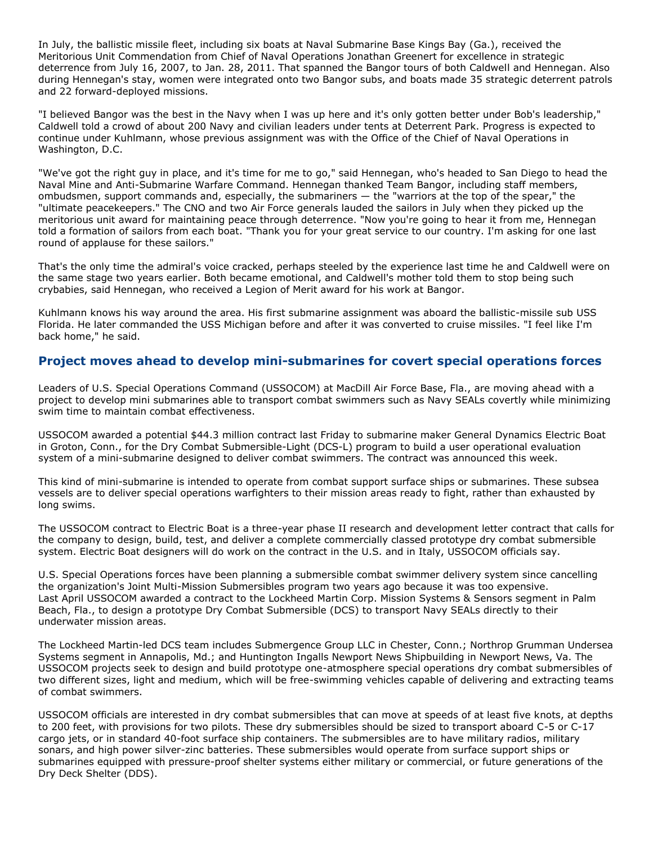In July, the ballistic missile fleet, including six boats at Naval Submarine Base Kings Bay (Ga.), received the Meritorious Unit Commendation from Chief of Naval Operations Jonathan Greenert for excellence in strategic deterrence from July 16, 2007, to Jan. 28, 2011. That spanned the Bangor tours of both Caldwell and Hennegan. Also during Hennegan's stay, women were integrated onto two Bangor subs, and boats made 35 strategic deterrent patrols and 22 forward-deployed missions.

"I believed Bangor was the best in the Navy when I was up here and it's only gotten better under Bob's leadership," Caldwell told a crowd of about 200 Navy and civilian leaders under tents at Deterrent Park. Progress is expected to continue under Kuhlmann, whose previous assignment was with the Office of the Chief of Naval Operations in Washington, D.C.

"We've got the right guy in place, and it's time for me to go," said Hennegan, who's headed to San Diego to head the Naval Mine and Anti-Submarine Warfare Command. Hennegan thanked Team Bangor, including staff members, ombudsmen, support commands and, especially, the submariners — the "warriors at the top of the spear," the "ultimate peacekeepers." The CNO and two Air Force generals lauded the sailors in July when they picked up the meritorious unit award for maintaining peace through deterrence. "Now you're going to hear it from me, Hennegan told a formation of sailors from each boat. "Thank you for your great service to our country. I'm asking for one last round of applause for these sailors."

That's the only time the admiral's voice cracked, perhaps steeled by the experience last time he and Caldwell were on the same stage two years earlier. Both became emotional, and Caldwell's mother told them to stop being such crybabies, said Hennegan, who received a Legion of Merit award for his work at Bangor.

Kuhlmann knows his way around the area. His first submarine assignment was aboard the ballistic-missile sub USS Florida. He later commanded the USS Michigan before and after it was converted to cruise missiles. "I feel like I'm back home," he said.

# **Project moves ahead to develop mini-submarines for covert special operations forces**

Leaders of U.S. Special Operations Command (USSOCOM) at MacDill Air Force Base, Fla., are moving ahead with a project to develop mini submarines able to transport combat swimmers such as Navy SEALs covertly while minimizing swim time to maintain combat effectiveness.

USSOCOM awarded a potential \$44.3 million contract last Friday to submarine maker General Dynamics Electric Boat in Groton, Conn., for the Dry Combat Submersible-Light (DCS-L) program to build a user operational evaluation system of a mini-submarine designed to deliver combat swimmers. The contract was announced this week.

This kind of mini-submarine is intended to operate from combat support surface ships or submarines. These subsea vessels are to deliver special operations warfighters to their mission areas ready to fight, rather than exhausted by long swims.

The USSOCOM contract to Electric Boat is a three-year phase II research and development letter contract that calls for the company to design, build, test, and deliver a complete commercially classed prototype dry combat submersible system. Electric Boat designers will do work on the contract in the U.S. and in Italy, USSOCOM officials say.

U.S. Special Operations forces have been planning a submersible combat swimmer delivery system since cancelling the organization's Joint Multi-Mission Submersibles program two years ago because it was too expensive. Last April USSOCOM awarded a contract to the Lockheed Martin Corp. Mission Systems & Sensors segment in Palm Beach, Fla., to design a prototype Dry Combat Submersible (DCS) to transport Navy SEALs directly to their underwater mission areas.

The Lockheed Martin-led DCS team includes Submergence Group LLC in Chester, Conn.; Northrop Grumman Undersea Systems segment in Annapolis, Md.; and Huntington Ingalls Newport News Shipbuilding in Newport News, Va. The USSOCOM projects seek to design and build prototype one-atmosphere special operations dry combat submersibles of two different sizes, light and medium, which will be free-swimming vehicles capable of delivering and extracting teams of combat swimmers.

USSOCOM officials are interested in dry combat submersibles that can move at speeds of at least five knots, at depths to 200 feet, with provisions for two pilots. These dry submersibles should be sized to transport aboard C-5 or C-17 cargo jets, or in standard 40-foot surface ship containers. The submersibles are to have military radios, military sonars, and high power silver-zinc batteries. These submersibles would operate from surface support ships or submarines equipped with pressure-proof shelter systems either military or commercial, or future generations of the Dry Deck Shelter (DDS).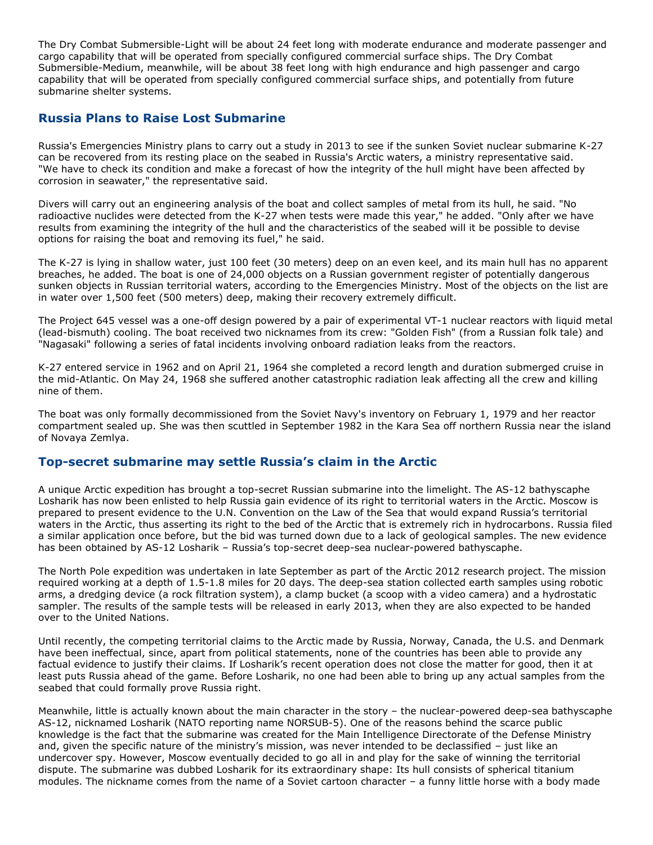The Dry Combat Submersible-Light will be about 24 feet long with moderate endurance and moderate passenger and cargo capability that will be operated from specially configured commercial surface ships. The Dry Combat Submersible-Medium, meanwhile, will be about 38 feet long with high endurance and high passenger and cargo capability that will be operated from specially configured commercial surface ships, and potentially from future submarine shelter systems.

# **Russia Plans to Raise Lost Submarine**

Russia's Emergencies Ministry plans to carry out a study in 2013 to see if the sunken Soviet nuclear submarine K-27 can be recovered from its resting place on the seabed in Russia's Arctic waters, a ministry representative said. "We have to check its condition and make a forecast of how the integrity of the hull might have been affected by corrosion in seawater," the representative said.

Divers will carry out an engineering analysis of the boat and collect samples of metal from its hull, he said. "No radioactive nuclides were detected from the K-27 when tests were made this year," he added. "Only after we have results from examining the integrity of the hull and the characteristics of the seabed will it be possible to devise options for raising the boat and removing its fuel," he said.

The K-27 is lying in shallow water, just 100 feet (30 meters) deep on an even keel, and its main hull has no apparent breaches, he added. The boat is one of 24,000 objects on a Russian government register of potentially dangerous sunken objects in Russian territorial waters, according to the Emergencies Ministry. Most of the objects on the list are in water over 1,500 feet (500 meters) deep, making their recovery extremely difficult.

The Project 645 vessel was a one-off design powered by a pair of experimental VT-1 nuclear reactors with liquid metal (lead-bismuth) cooling. The boat received two nicknames from its crew: "Golden Fish" (from a Russian folk tale) and "Nagasaki" following a series of fatal incidents involving onboard radiation leaks from the reactors.

K-27 entered service in 1962 and on April 21, 1964 she completed a record length and duration submerged cruise in the mid-Atlantic. On May 24, 1968 she suffered another catastrophic radiation leak affecting all the crew and killing nine of them.

The boat was only formally decommissioned from the Soviet Navy's inventory on February 1, 1979 and her reactor compartment sealed up. She was then scuttled in September 1982 in the Kara Sea off northern Russia near the island of Novaya Zemlya.

# **Top-secret submarine may settle Russia's claim in the Arctic**

A unique Arctic expedition has brought a top-secret Russian submarine into the limelight. The AS-12 bathyscaphe Losharik has now been enlisted to help Russia gain evidence of its right to territorial waters in the Arctic. Moscow is prepared to present evidence to the U.N. Convention on the Law of the Sea that would expand Russia's territorial waters in the Arctic, thus asserting its right to the bed of the Arctic that is extremely rich in hydrocarbons. Russia filed a similar application once before, but the bid was turned down due to a lack of geological samples. The new evidence has been obtained by AS-12 Losharik – Russia's top-secret deep-sea nuclear-powered bathyscaphe.

The North Pole expedition was undertaken in late September as part of the Arctic 2012 research project. The mission required working at a depth of 1.5-1.8 miles for 20 days. The deep-sea station collected earth samples using robotic arms, a dredging device (a rock filtration system), a clamp bucket (a scoop with a video camera) and a hydrostatic sampler. The results of the sample tests will be released in early 2013, when they are also expected to be handed over to the United Nations.

Until recently, the competing territorial claims to the Arctic made by Russia, Norway, Canada, the U.S. and Denmark have been ineffectual, since, apart from political statements, none of the countries has been able to provide any factual evidence to justify their claims. If Losharik's recent operation does not close the matter for good, then it at least puts Russia ahead of the game. Before Losharik, no one had been able to bring up any actual samples from the seabed that could formally prove Russia right.

Meanwhile, little is actually known about the main character in the story – the nuclear-powered deep-sea bathyscaphe AS-12, nicknamed Losharik (NATO reporting name NORSUB-5). One of the reasons behind the scarce public knowledge is the fact that the submarine was created for the Main Intelligence Directorate of the Defense Ministry and, given the specific nature of the ministry's mission, was never intended to be declassified – just like an undercover spy. However, Moscow eventually decided to go all in and play for the sake of winning the territorial dispute. The submarine was dubbed Losharik for its extraordinary shape: Its hull consists of spherical titanium modules. The nickname comes from the name of a Soviet cartoon character – a funny little horse with a body made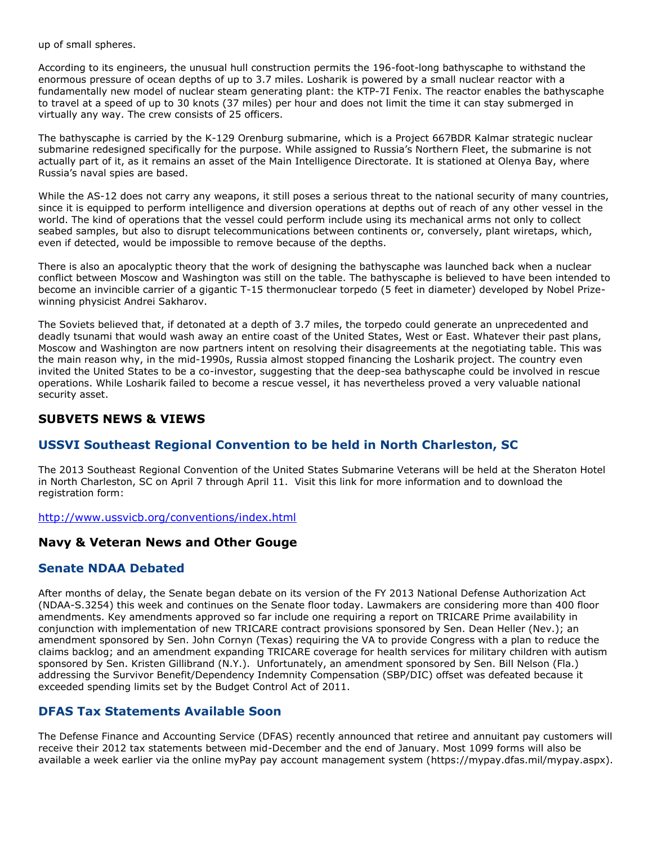up of small spheres.

According to its engineers, the unusual hull construction permits the 196-foot-long bathyscaphe to withstand the enormous pressure of ocean depths of up to 3.7 miles. Losharik is powered by a small nuclear reactor with a fundamentally new model of nuclear steam generating plant: the KTP-7I Fenix. The reactor enables the bathyscaphe to travel at a speed of up to 30 knots (37 miles) per hour and does not limit the time it can stay submerged in virtually any way. The crew consists of 25 officers.

The bathyscaphe is carried by the K-129 Orenburg submarine, which is a Project 667BDR Kalmar strategic nuclear submarine redesigned specifically for the purpose. While assigned to Russia's Northern Fleet, the submarine is not actually part of it, as it remains an asset of the Main Intelligence Directorate. It is stationed at Olenya Bay, where Russia's naval spies are based.

While the AS-12 does not carry any weapons, it still poses a serious threat to the national security of many countries, since it is equipped to perform intelligence and diversion operations at depths out of reach of any other vessel in the world. The kind of operations that the vessel could perform include using its mechanical arms not only to collect seabed samples, but also to disrupt telecommunications between continents or, conversely, plant wiretaps, which, even if detected, would be impossible to remove because of the depths.

There is also an apocalyptic theory that the work of designing the bathyscaphe was launched back when a nuclear conflict between Moscow and Washington was still on the table. The bathyscaphe is believed to have been intended to become an invincible carrier of a gigantic T-15 thermonuclear torpedo (5 feet in diameter) developed by Nobel Prizewinning physicist Andrei Sakharov.

The Soviets believed that, if detonated at a depth of 3.7 miles, the torpedo could generate an unprecedented and deadly tsunami that would wash away an entire coast of the United States, West or East. Whatever their past plans, Moscow and Washington are now partners intent on resolving their disagreements at the negotiating table. This was the main reason why, in the mid-1990s, Russia almost stopped financing the Losharik project. The country even invited the United States to be a co-investor, suggesting that the deep-sea bathyscaphe could be involved in rescue operations. While Losharik failed to become a rescue vessel, it has nevertheless proved a very valuable national security asset.

# **SUBVETS NEWS & VIEWS**

# **USSVI Southeast Regional Convention to be held in North Charleston, SC**

The 2013 Southeast Regional Convention of the United States Submarine Veterans will be held at the Sheraton Hotel in North Charleston, SC on April 7 through April 11. Visit this link for more information and to download the registration form:

<http://www.ussvicb.org/conventions/index.html>

### **Navy & Veteran News and Other Gouge**

### **Senate NDAA Debated**

After months of delay, the Senate began debate on its version of the FY 2013 National Defense Authorization Act (NDAA-S.3254) this week and continues on the Senate floor today. Lawmakers are considering more than 400 floor amendments. Key amendments approved so far include one requiring a report on TRICARE Prime availability in conjunction with implementation of new TRICARE contract provisions sponsored by Sen. Dean Heller (Nev.); an amendment sponsored by Sen. John Cornyn (Texas) requiring the VA to provide Congress with a plan to reduce the claims backlog; and an amendment expanding TRICARE coverage for health services for military children with autism sponsored by Sen. Kristen Gillibrand (N.Y.). Unfortunately, an amendment sponsored by Sen. Bill Nelson (Fla.) addressing the Survivor Benefit/Dependency Indemnity Compensation (SBP/DIC) offset was defeated because it exceeded spending limits set by the Budget Control Act of 2011.

# **DFAS Tax Statements Available Soon**

The Defense Finance and Accounting Service (DFAS) recently announced that retiree and annuitant pay customers will receive their 2012 tax statements between mid-December and the end of January. Most 1099 forms will also be available a week earlier via the online myPay pay account management system [\(https://mypay.dfas.mil/mypay.aspx\)](https://mypay.dfas.mil/mypay.aspx).